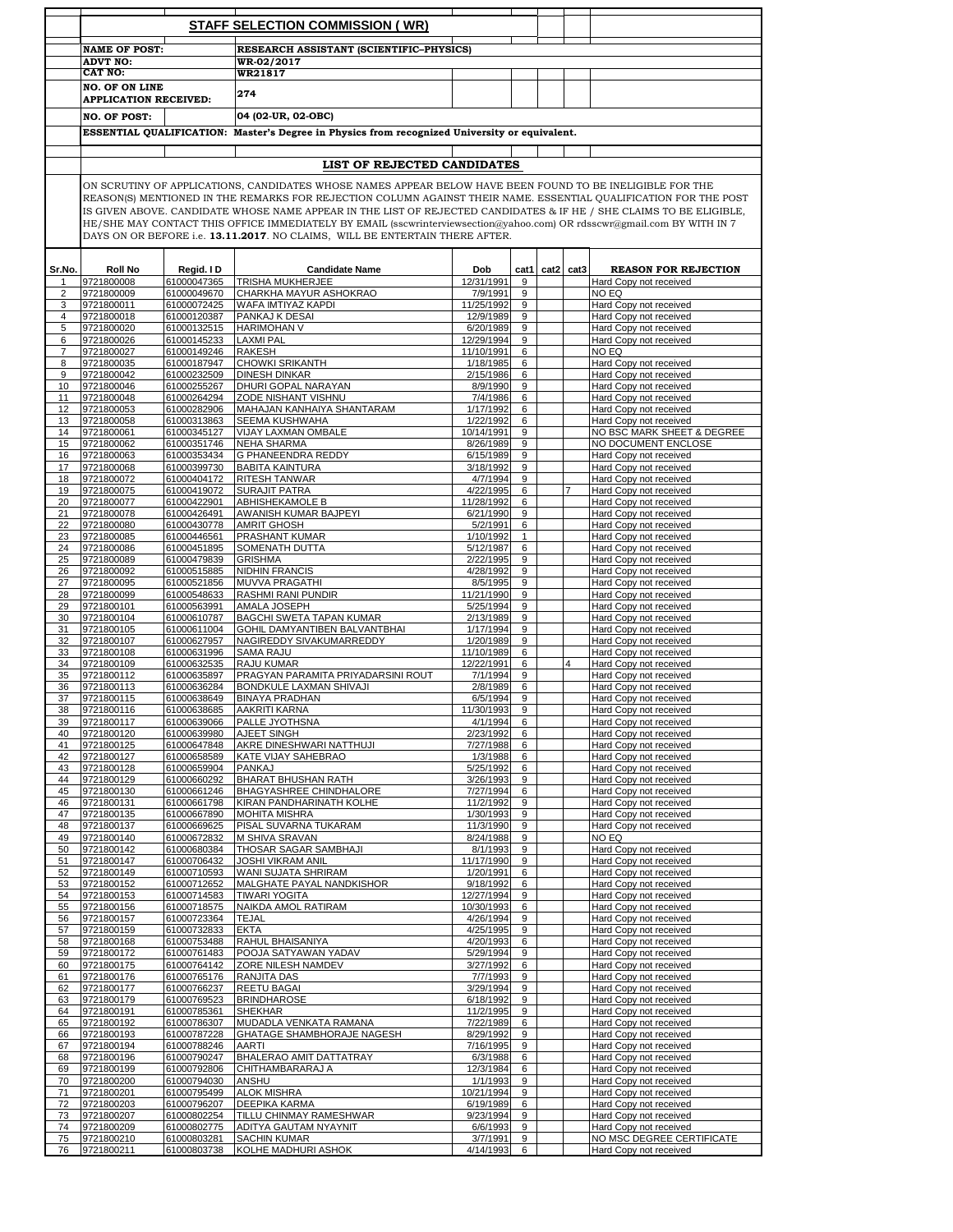|                |                                                       |                            | <b>STAFF SELECTION COMMISSION (WR)</b>                                                                                                                                                                                                  |                         |                |  |           |                                                       |  |
|----------------|-------------------------------------------------------|----------------------------|-----------------------------------------------------------------------------------------------------------------------------------------------------------------------------------------------------------------------------------------|-------------------------|----------------|--|-----------|-------------------------------------------------------|--|
|                | <b>NAME OF POST:</b>                                  |                            | RESEARCH ASSISTANT (SCIENTIFIC-PHYSICS)                                                                                                                                                                                                 |                         |                |  |           |                                                       |  |
|                | <b>ADVT NO:</b><br>CAT NO:                            |                            | WR-02/2017<br>WR21817                                                                                                                                                                                                                   |                         |                |  |           |                                                       |  |
|                | <b>NO. OF ON LINE</b><br><b>APPLICATION RECEIVED:</b> |                            | 274                                                                                                                                                                                                                                     |                         |                |  |           |                                                       |  |
|                | <b>NO. OF POST:</b>                                   |                            | 04 (02-UR, 02-OBC)                                                                                                                                                                                                                      |                         |                |  |           |                                                       |  |
|                |                                                       |                            | ESSENTIAL QUALIFICATION: Master's Degree in Physics from recognized University or equivalent.                                                                                                                                           |                         |                |  |           |                                                       |  |
|                |                                                       |                            |                                                                                                                                                                                                                                         |                         |                |  |           |                                                       |  |
|                |                                                       |                            | LIST OF REJECTED CANDIDATES                                                                                                                                                                                                             |                         |                |  |           |                                                       |  |
|                |                                                       |                            | ON SCRUTINY OF APPLICATIONS, CANDIDATES WHOSE NAMES APPEAR BELOW HAVE BEEN FOUND TO BE INELIGIBLE FOR THE                                                                                                                               |                         |                |  |           |                                                       |  |
|                |                                                       |                            | REASON(S) MENTIONED IN THE REMARKS FOR REJECTION COLUMN AGAINST THEIR NAME. ESSENTIAL QUALIFICATION FOR THE POST<br>IS GIVEN ABOVE. CANDIDATE WHOSE NAME APPEAR IN THE LIST OF REJECTED CANDIDATES & IF HE / SHE CLAIMS TO BE ELIGIBLE, |                         |                |  |           |                                                       |  |
|                |                                                       |                            | HE/SHE MAY CONTACT THIS OFFICE IMMEDIATELY BY EMAIL (sscwrinterviewsection@yahoo.com) OR rdsscwr@gmail.com BY WITH IN 7<br>DAYS ON OR BEFORE i.e. 13.11.2017. NO CLAIMS, WILL BE ENTERTAIN THERE AFTER.                                 |                         |                |  |           |                                                       |  |
|                |                                                       |                            |                                                                                                                                                                                                                                         |                         |                |  |           |                                                       |  |
| Sr.No.<br>1    | <b>Roll No</b><br>9721800008                          | Regid. I D<br>61000047365  | <b>Candidate Name</b><br><b>TRISHA MUKHERJEE</b>                                                                                                                                                                                        | Dob<br>12/31/1991       | cat1<br>9      |  | cat2 cat3 | <b>REASON FOR REJECTION</b><br>Hard Copy not received |  |
| 2              | 9721800009                                            | 61000049670                | CHARKHA MAYUR ASHOKRAO                                                                                                                                                                                                                  | 7/9/1991                | 9              |  |           | NO EQ                                                 |  |
| 3<br>4         | 9721800011<br>9721800018                              | 61000072425<br>61000120387 | WAFA IMTIYAZ KAPDI<br>PANKAJ K DESAI                                                                                                                                                                                                    | 11/25/1992<br>12/9/1989 | 9<br>9         |  |           | Hard Copy not received<br>Hard Copy not received      |  |
| 5              | 9721800020                                            | 61000132515                | <b>HARIMOHAN V</b>                                                                                                                                                                                                                      | 6/20/1989               | 9              |  |           | Hard Copy not received                                |  |
| 6              | 9721800026                                            | 61000145233                | <b>LAXMI PAL</b>                                                                                                                                                                                                                        | 12/29/1994              | 9              |  |           | Hard Copy not received                                |  |
| $\overline{7}$ | 9721800027<br>9721800035                              | 61000149246<br>61000187947 | <b>RAKESH</b>                                                                                                                                                                                                                           | 11/10/1991<br>1/18/1985 | 6<br>6         |  |           | NO EQ                                                 |  |
| 8<br>9         | 9721800042                                            | 61000232509                | <b>CHOWKI SRIKANTH</b><br><b>DINESH DINKAR</b>                                                                                                                                                                                          | 2/15/1986               | 6              |  |           | Hard Copy not received<br>Hard Copy not received      |  |
| 10             | 9721800046                                            | 61000255267                | DHURI GOPAL NARAYAN                                                                                                                                                                                                                     | 8/9/1990                | 9              |  |           | Hard Copy not received                                |  |
| 11             | 9721800048                                            | 61000264294                | ZODE NISHANT VISHNU                                                                                                                                                                                                                     | 7/4/1986                | 6              |  |           | Hard Copy not received                                |  |
| 12<br>13       | 9721800053<br>9721800058                              | 61000282906<br>61000313863 | MAHAJAN KANHAIYA SHANTARAM<br>SEEMA KUSHWAHA                                                                                                                                                                                            | 1/17/1992<br>1/22/1992  | 6<br>6         |  |           | Hard Copy not received<br>Hard Copy not received      |  |
| 14             | 9721800061                                            | 61000345127                | VIJAY LAXMAN OMBALE                                                                                                                                                                                                                     | 10/14/1991              | 9              |  |           | NO BSC MARK SHEET & DEGREE                            |  |
| 15             | 9721800062                                            | 61000351746                | <b>NEHA SHARMA</b>                                                                                                                                                                                                                      | 8/26/1989               | 9              |  |           | NO DOCUMENT ENCLOSE                                   |  |
| 16<br>17       | 9721800063<br>9721800068                              | 61000353434<br>61000399730 | <b>G PHANEENDRA REDDY</b><br><b>BABITA KAINTURA</b>                                                                                                                                                                                     | 6/15/1989<br>3/18/1992  | 9<br>9         |  |           | Hard Copy not received<br>Hard Copy not received      |  |
| 18             | 9721800072                                            | 61000404172                | <b>RITESH TANWAR</b>                                                                                                                                                                                                                    | 4/7/1994                | 9              |  |           | Hard Copy not received                                |  |
| 19             | 9721800075                                            | 61000419072                | <b>SURAJIT PATRA</b>                                                                                                                                                                                                                    | 4/22/1995               | 6              |  |           | Hard Copy not received                                |  |
| 20<br>21       | 9721800077<br>9721800078                              | 61000422901<br>61000426491 | ABHISHEKAMOLE B<br>AWANISH KUMAR BAJPEYI                                                                                                                                                                                                | 11/28/1992<br>6/21/1990 | 6<br>9         |  |           | Hard Copy not received<br>Hard Copy not received      |  |
| 22             | 9721800080                                            | 61000430778                | <b>AMRIT GHOSH</b>                                                                                                                                                                                                                      | 5/2/1991                | 6              |  |           | Hard Copy not received                                |  |
| 23             | 9721800085                                            | 61000446561                | PRASHANT KUMAR                                                                                                                                                                                                                          | 1/10/1992               | $\mathbf{1}$   |  |           | Hard Copy not received                                |  |
| 24<br>25       | 9721800086<br>9721800089                              | 61000451895<br>61000479839 | SOMENATH DUTTA<br><b>GRISHMA</b>                                                                                                                                                                                                        | 5/12/1987<br>2/22/1995  | 6<br>9         |  |           | Hard Copy not received<br>Hard Copy not received      |  |
| 26             | 9721800092                                            | 61000515885                | <b>NIDHIN FRANCIS</b>                                                                                                                                                                                                                   | 4/28/1992               | 9              |  |           | Hard Copy not received                                |  |
| 27             | 9721800095                                            | 61000521856                | MUVVA PRAGATHI                                                                                                                                                                                                                          | 8/5/1995                | 9              |  |           | Hard Copy not received                                |  |
| 28<br>29       | 9721800099<br>9721800101                              | 61000548633<br>61000563991 | <b>RASHMI RANI PUNDIR</b><br><b>AMALA JOSEPH</b>                                                                                                                                                                                        | 11/21/1990<br>5/25/1994 | 9<br>9         |  |           | Hard Copy not received<br>Hard Copy not received      |  |
| 30             | 9721800104                                            | 61000610787                | BAGCHI SWETA TAPAN KUMAR                                                                                                                                                                                                                | 2/13/1989               | 9              |  |           | Hard Copy not received                                |  |
| 31             | 9721800105                                            | 61000611004                | GOHIL DAMYANTIBEN BALVANTBHAI                                                                                                                                                                                                           | 1/17/1994               | 9              |  |           | Hard Copy not received                                |  |
| 32<br>33       | 9721800107<br>9721800108                              | 61000627957<br>61000631996 | NAGIREDDY SIVAKUMARREDDY<br>SAMA RAJU                                                                                                                                                                                                   | 1/20/1989<br>11/10/1989 | 9<br>6         |  |           | Hard Copy not received<br>Hard Copy not received      |  |
| 34             | 9721800109                                            | 61000632535                | RAJU KUMAR                                                                                                                                                                                                                              | 12/22/1991              | 6              |  |           | Hard Copy not received                                |  |
| 35             | 9721800112                                            | 61000635897                | PRAGYAN PARAMITA PRIYADARSINI ROUT                                                                                                                                                                                                      | 7/1/1994                | 9              |  |           | Hard Copy not received                                |  |
| 36<br>37       | 9721800113<br>9721800115                              | 61000636284<br>61000638649 | BONDKULE LAXMAN SHIVAJI<br><b>BINAYA PRADHAN</b>                                                                                                                                                                                        | 2/8/1989<br>6/5/1994    | 6<br>9         |  |           | Hard Copy not received<br>Hard Copy not received      |  |
| 38             | 9721800116                                            | 61000638685                | AAKRITI KARNA                                                                                                                                                                                                                           | 11/30/1993              | 9              |  |           | Hard Copy not received                                |  |
| 39             | 9721800117                                            | 61000639066                | PALLE JYOTHSNA                                                                                                                                                                                                                          | 4/1/1994                | 6              |  |           | Hard Copy not received                                |  |
| 40<br>41       | 9721800120                                            | 61000639980                | AJEET SINGH<br>AKRE DINESHWARI NATTHUJI                                                                                                                                                                                                 | 2/23/1992<br>7/27/1988  | 6<br>6         |  |           | Hard Copy not received                                |  |
| 42             | 9721800125<br>9721800127                              | 61000647848<br>61000658589 | KATE VIJAY SAHEBRAO                                                                                                                                                                                                                     | 1/3/1988                | 6              |  |           | Hard Copy not received<br>Hard Copy not received      |  |
| 43             | 9721800128                                            | 61000659904                | PANKAJ                                                                                                                                                                                                                                  | 5/25/1992               | 6              |  |           | Hard Copy not received                                |  |
| 44             | 9721800129                                            | 61000660292                | <b>BHARAT BHUSHAN RATH</b>                                                                                                                                                                                                              | 3/26/1993               | 9              |  |           | Hard Copy not received                                |  |
| 45<br>46       | 9721800130<br>9721800131                              | 61000661246<br>61000661798 | BHAGYASHREE CHINDHALORE<br>KIRAN PANDHARINATH KOLHE                                                                                                                                                                                     | 7/27/1994<br>11/2/1992  | 6<br>9         |  |           | Hard Copy not received<br>Hard Copy not received      |  |
| 47             | 9721800135                                            | 61000667890                | <b>MOHITA MISHRA</b>                                                                                                                                                                                                                    | 1/30/1993               | 9              |  |           | Hard Copy not received                                |  |
| 48<br>49       | 9721800137<br>9721800140                              | 61000669625<br>61000672832 | PISAL SUVARNA TUKARAM<br>M SHIVA SRAVAN                                                                                                                                                                                                 | 11/3/1990<br>8/24/1988  | 9<br>9         |  |           | Hard Copy not received<br>NO EQ                       |  |
| 50             | 9721800142                                            | 61000680384                | THOSAR SAGAR SAMBHAJI                                                                                                                                                                                                                   | 8/1/1993                | 9              |  |           | Hard Copy not received                                |  |
| 51             | 9721800147                                            | 61000706432                | <b>JOSHI VIKRAM ANIL</b>                                                                                                                                                                                                                | 11/17/1990              | 9              |  |           | Hard Copy not received                                |  |
| 52<br>53       | 9721800149<br>9721800152                              | 61000710593<br>61000712652 | WANI SUJATA SHRIRAM<br>MALGHATE PAYAL NANDKISHOR                                                                                                                                                                                        | 1/20/1991<br>9/18/1992  | 6<br>6         |  |           | Hard Copy not received<br>Hard Copy not received      |  |
| 54             | 9721800153                                            | 61000714583                | <b>TIWARI YOGITA</b>                                                                                                                                                                                                                    | 12/27/1994              | 9              |  |           | Hard Copy not received                                |  |
| 55             | 9721800156                                            | 61000718575                | NAIKDA AMOL RATIRAM                                                                                                                                                                                                                     | 10/30/1993              | 6              |  |           | Hard Copy not received                                |  |
| 56<br>57       | 9721800157<br>9721800159                              | 61000723364<br>61000732833 | <b>TEJAL</b><br><b>EKTA</b>                                                                                                                                                                                                             | 4/26/1994<br>4/25/1995  | 9<br>9         |  |           | Hard Copy not received<br>Hard Copy not received      |  |
| 58             | 9721800168                                            | 61000753488                | RAHUL BHAISANIYA                                                                                                                                                                                                                        | 4/20/1993               | 6              |  |           | Hard Copy not received                                |  |
| 59             | 9721800172                                            | 61000761483                | POOJA SATYAWAN YADAV                                                                                                                                                                                                                    | 5/29/1994               | 9              |  |           | Hard Copy not received                                |  |
| 60<br>61       | 9721800175<br>9721800176                              | 61000764142<br>61000765176 | ZORE NILESH NAMDEV<br>RANJITA DAS                                                                                                                                                                                                       | 3/27/1992<br>7/7/1993   | 6<br>9         |  |           | Hard Copy not received<br>Hard Copy not received      |  |
| 62             | 9721800177                                            | 61000766237                | <b>REETU BAGAI</b>                                                                                                                                                                                                                      | 3/29/1994               | 9              |  |           | Hard Copy not received                                |  |
| 63             | 9721800179                                            | 61000769523                | <b>BRINDHAROSE</b>                                                                                                                                                                                                                      | 6/18/1992               | 9              |  |           | Hard Copy not received                                |  |
| 64<br>65       | 9721800191<br>9721800192                              | 61000785361<br>61000786307 | <b>SHEKHAR</b><br>MUDADLA VENKATA RAMANA                                                                                                                                                                                                | 11/2/1995<br>7/22/1989  | 9<br>6         |  |           | Hard Copy not received<br>Hard Copy not received      |  |
| 66             | 9721800193                                            | 61000787228                | GHATAGE SHAMBHORAJE NAGESH                                                                                                                                                                                                              | 8/29/1992               | 9              |  |           | Hard Copy not received                                |  |
| 67             | 9721800194                                            | 61000788246                | AARTI                                                                                                                                                                                                                                   | 7/16/1995               | 9              |  |           | Hard Copy not received                                |  |
| 68<br>69       | 9721800196<br>9721800199                              | 61000790247<br>61000792806 | BHALERAO AMIT DATTATRAY<br>CHITHAMBARARAJ A                                                                                                                                                                                             | 6/3/1988<br>12/3/1984   | 6<br>6         |  |           | Hard Copy not received<br>Hard Copy not received      |  |
| 70             | 9721800200                                            | 61000794030                | ANSHU                                                                                                                                                                                                                                   | 1/1/1993                | 9              |  |           | Hard Copy not received                                |  |
| 71             | 9721800201                                            | 61000795499                | <b>ALOK MISHRA</b>                                                                                                                                                                                                                      | 10/21/1994              | 9              |  |           | Hard Copy not received                                |  |
| 72<br>73       | 9721800203<br>9721800207                              | 61000796207<br>61000802254 | DEEPIKA KARMA<br>TILLU CHINMAY RAMESHWAR                                                                                                                                                                                                | 6/19/1989<br>9/23/1994  | 6<br>9         |  |           | Hard Copy not received<br>Hard Copy not received      |  |
| 74             | 9721800209                                            | 61000802775                | ADITYA GAUTAM NYAYNIT                                                                                                                                                                                                                   | 6/6/1993                | 9              |  |           | Hard Copy not received                                |  |
| 75             | 9721800210                                            | 61000803281                | <b>SACHIN KUMAR</b>                                                                                                                                                                                                                     | 3/7/1991                | 9              |  |           | NO MSC DEGREE CERTIFICATE                             |  |
| 76             | 9721800211                                            | 61000803738                | KOLHE MADHURI ASHOK                                                                                                                                                                                                                     | 4/14/1993               | $6\phantom{.}$ |  |           | Hard Copy not received                                |  |